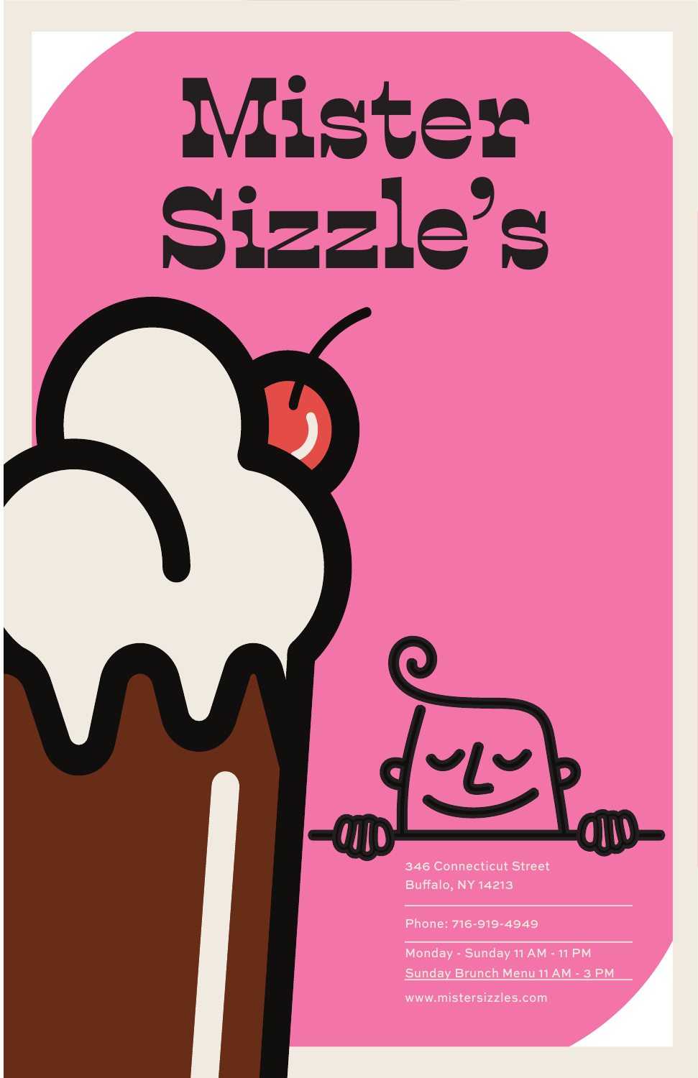Phone: 716-919-4949

www.mistersizzles.com

Monday - Sunday 11 AM - 11 PM Sunday Brunch Menu 11 AM - 3 PM

# Mister Sizzle's



346 Connecticut Street **Buffalo, NY 14213**